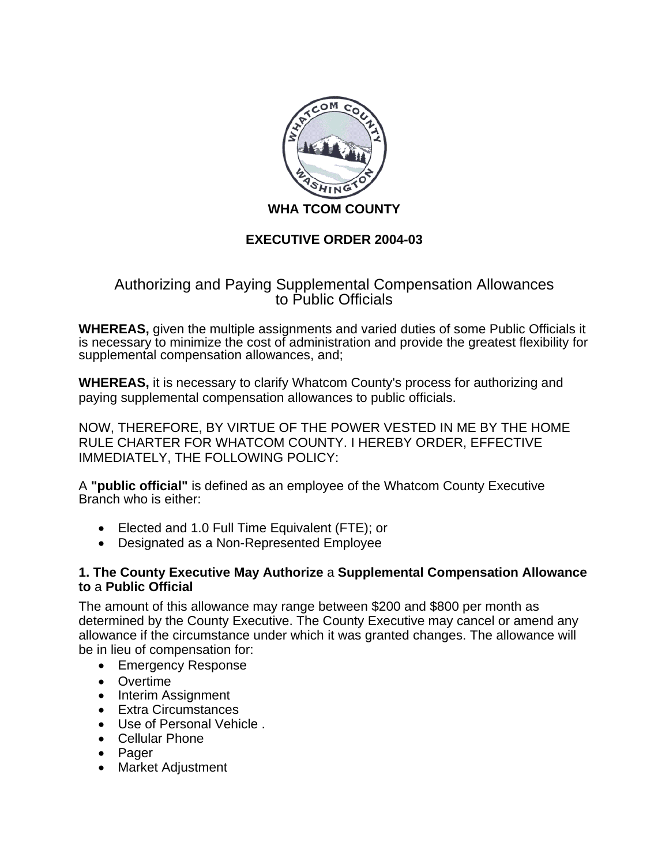

# **EXECUTIVE ORDER 2004-03**

# Authorizing and Paying Supplemental Compensation Allowances to Public Officials

**WHEREAS,** given the multiple assignments and varied duties of some Public Officials it is necessary to minimize the cost of administration and provide the greatest flexibility for supplemental compensation allowances, and;

**WHEREAS,** it is necessary to clarify Whatcom County's process for authorizing and paying supplemental compensation allowances to public officials.

NOW, THEREFORE, BY VIRTUE OF THE POWER VESTED IN ME BY THE HOME RULE CHARTER FOR WHATCOM COUNTY. I HEREBY ORDER, EFFECTIVE IMMEDIATELY, THE FOLLOWING POLICY:

A **"public official"** is defined as an employee of the Whatcom County Executive Branch who is either:

- Elected and 1.0 Full Time Equivalent (FTE); or
- Designated as a Non-Represented Employee

## **1. The County Executive May Authorize** a **Supplemental Compensation Allowance to** a **Public Official**

The amount of this allowance may range between \$200 and \$800 per month as determined by the County Executive. The County Executive may cancel or amend any allowance if the circumstance under which it was granted changes. The allowance will be in lieu of compensation for:

- Emergency Response
- Overtime
- Interim Assignment
- Extra Circumstances
- Use of Personal Vehicle
- Cellular Phone
- Pager
- Market Adjustment